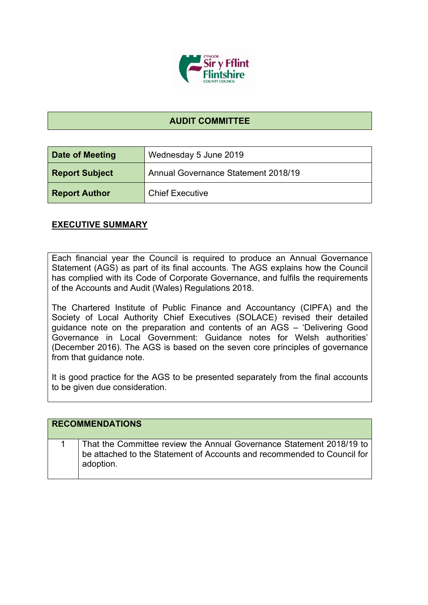

## **AUDIT COMMITTEE**

| Date of Meeting       | Wednesday 5 June 2019               |
|-----------------------|-------------------------------------|
| <b>Report Subject</b> | Annual Governance Statement 2018/19 |
| <b>Report Author</b>  | <b>Chief Executive</b>              |

## **EXECUTIVE SUMMARY**

Each financial year the Council is required to produce an Annual Governance Statement (AGS) as part of its final accounts. The AGS explains how the Council has complied with its Code of Corporate Governance, and fulfils the requirements of the Accounts and Audit (Wales) Regulations 2018.

The Chartered Institute of Public Finance and Accountancy (CIPFA) and the Society of Local Authority Chief Executives (SOLACE) revised their detailed guidance note on the preparation and contents of an AGS – 'Delivering Good Governance in Local Government: Guidance notes for Welsh authorities' (December 2016). The AGS is based on the seven core principles of governance from that guidance note.

It is good practice for the AGS to be presented separately from the final accounts to be given due consideration.

| <b>RECOMMENDATIONS</b>                                                                                                                                    |
|-----------------------------------------------------------------------------------------------------------------------------------------------------------|
| That the Committee review the Annual Governance Statement 2018/19 to be attached to the Statement of Accounts and recommended to Council for<br>adoption. |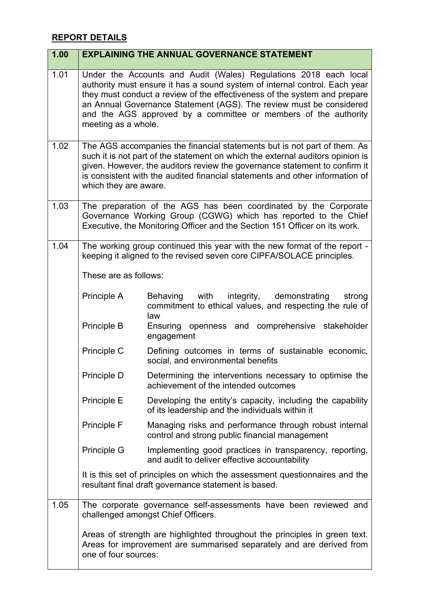## **REPORT DETAILS**

| 1.00 | <b>EXPLAINING THE ANNUAL GOVERNANCE STATEMENT</b>                                                                                                                                                                                                                                                                                                                                            |                                                                                                                                                    |
|------|----------------------------------------------------------------------------------------------------------------------------------------------------------------------------------------------------------------------------------------------------------------------------------------------------------------------------------------------------------------------------------------------|----------------------------------------------------------------------------------------------------------------------------------------------------|
| 1.01 | Under the Accounts and Audit (Wales) Regulations 2018 each local<br>authority must ensure it has a sound system of internal control. Each year<br>they must conduct a review of the effectiveness of the system and prepare<br>an Annual Governance Statement (AGS). The review must be considered<br>and the AGS approved by a committee or members of the authority<br>meeting as a whole. |                                                                                                                                                    |
| 1.02 | The AGS accompanies the financial statements but is not part of them. As<br>such it is not part of the statement on which the external auditors opinion is<br>given. However, the auditors review the governance statement to confirm it<br>is consistent with the audited financial statements and other information of<br>which they are aware.                                            |                                                                                                                                                    |
| 1.03 | The preparation of the AGS has been coordinated by the Corporate<br>Governance Working Group (CGWG) which has reported to the Chief<br>Executive, the Monitoring Officer and the Section 151 Officer on its work.                                                                                                                                                                            |                                                                                                                                                    |
| 1.04 | The working group continued this year with the new format of the report -<br>keeping it aligned to the revised seven core CIPFA/SOLACE principles.                                                                                                                                                                                                                                           |                                                                                                                                                    |
|      | These are as follows:                                                                                                                                                                                                                                                                                                                                                                        |                                                                                                                                                    |
|      | Principle A                                                                                                                                                                                                                                                                                                                                                                                  | Behaving with integrity, demonstrating<br>strong<br>commitment to ethical values, and respecting the rule of<br>law                                |
|      | Principle B                                                                                                                                                                                                                                                                                                                                                                                  | Ensuring openness and comprehensive stakeholder<br>engagement                                                                                      |
|      | Principle C                                                                                                                                                                                                                                                                                                                                                                                  | Defining outcomes in terms of sustainable economic,<br>social, and environmental benefits                                                          |
|      | Principle D                                                                                                                                                                                                                                                                                                                                                                                  | Determining the interventions necessary to optimise the<br>achievement of the intended outcomes                                                    |
|      | Principle E                                                                                                                                                                                                                                                                                                                                                                                  | Developing the entity's capacity, including the capability<br>of its leadership and the individuals within it                                      |
|      | Principle F                                                                                                                                                                                                                                                                                                                                                                                  | Managing risks and performance through robust internal<br>control and strong public financial management                                           |
|      | <b>Principle G</b>                                                                                                                                                                                                                                                                                                                                                                           | Implementing good practices in transparency, reporting,<br>and audit to deliver effective accountability                                           |
|      |                                                                                                                                                                                                                                                                                                                                                                                              | It is this set of principles on which the assessment question aires and the<br>resultant final draft governance statement is based.                |
| 1.05 |                                                                                                                                                                                                                                                                                                                                                                                              | The corporate governance self-assessments have been reviewed and<br>challenged amongst Chief Officers.                                             |
|      | one of four sources:                                                                                                                                                                                                                                                                                                                                                                         | Areas of strength are highlighted throughout the principles in green text.<br>Areas for improvement are summarised separately and are derived from |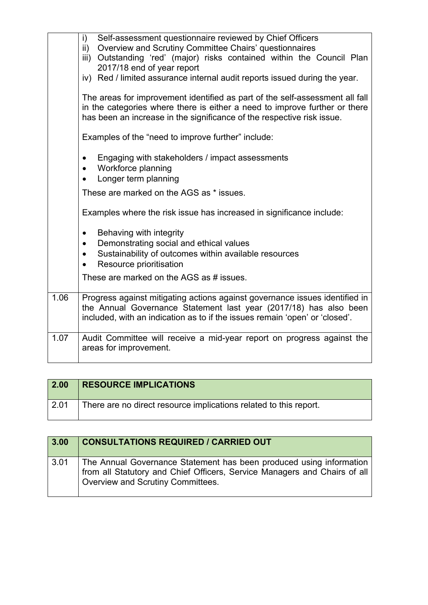|      | Self-assessment questionnaire reviewed by Chief Officers<br>i)<br>ii) Overview and Scrutiny Committee Chairs' questionnaires<br>iii) Outstanding 'red' (major) risks contained within the Council Plan<br>2017/18 end of year report<br>iv) Red / limited assurance internal audit reports issued during the year.<br>The areas for improvement identified as part of the self-assessment all fall<br>in the categories where there is either a need to improve further or there<br>has been an increase in the significance of the respective risk issue.<br>Examples of the "need to improve further" include:<br>Engaging with stakeholders / impact assessments<br>$\bullet$<br>Workforce planning<br>$\bullet$<br>Longer term planning<br>These are marked on the AGS as * issues.<br>Examples where the risk issue has increased in significance include:<br>Behaving with integrity<br>$\bullet$<br>Demonstrating social and ethical values<br>$\bullet$<br>Sustainability of outcomes within available resources<br>$\bullet$ |
|------|---------------------------------------------------------------------------------------------------------------------------------------------------------------------------------------------------------------------------------------------------------------------------------------------------------------------------------------------------------------------------------------------------------------------------------------------------------------------------------------------------------------------------------------------------------------------------------------------------------------------------------------------------------------------------------------------------------------------------------------------------------------------------------------------------------------------------------------------------------------------------------------------------------------------------------------------------------------------------------------------------------------------------------------|
|      | Resource prioritisation                                                                                                                                                                                                                                                                                                                                                                                                                                                                                                                                                                                                                                                                                                                                                                                                                                                                                                                                                                                                               |
|      | These are marked on the AGS as # issues.                                                                                                                                                                                                                                                                                                                                                                                                                                                                                                                                                                                                                                                                                                                                                                                                                                                                                                                                                                                              |
| 1.06 | Progress against mitigating actions against governance issues identified in<br>the Annual Governance Statement last year (2017/18) has also been<br>included, with an indication as to if the issues remain 'open' or 'closed'.                                                                                                                                                                                                                                                                                                                                                                                                                                                                                                                                                                                                                                                                                                                                                                                                       |
| 1.07 | Audit Committee will receive a mid-year report on progress against the<br>areas for improvement.                                                                                                                                                                                                                                                                                                                                                                                                                                                                                                                                                                                                                                                                                                                                                                                                                                                                                                                                      |

| $\overline{2.00}$ | <b>RESOURCE IMPLICATIONS</b>                                      |
|-------------------|-------------------------------------------------------------------|
| 2.01              | There are no direct resource implications related to this report. |

| 3.00 | <b>CONSULTATIONS REQUIRED / CARRIED OUT</b>                                                                                                                                           |
|------|---------------------------------------------------------------------------------------------------------------------------------------------------------------------------------------|
| 3.01 | The Annual Governance Statement has been produced using information<br>from all Statutory and Chief Officers, Service Managers and Chairs of all<br>Overview and Scrutiny Committees. |